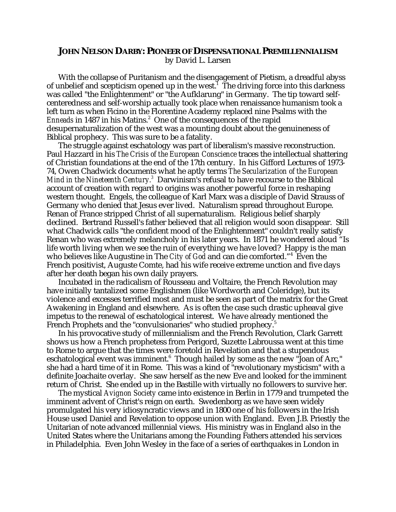## **JOHN NELSON DARBY: PIONEER OF DISPENSATIONAL PREMILLENNIALISM** by David L. Larsen

With the collapse of Puritanism and the disengagement of Pietism, a dreadful abyss of unbelief and scepticism opened up in the west. $^1$  The driving force into this darkness was called "the Enlightenment" or "the Aufklarung" in Germany. The tip toward selfcenteredness and self-worship actually took place when renaissance humanism took a left turn as when Ficino in the Florentine Academy replaced nine Psalms with the *Enneads* in 1487 in his Matins.<sup>2</sup> One of the consequences of the rapid desupernaturalization of the west was a mounting doubt about the genuineness of Biblical prophecy. This was sure to be a fatality.

The struggle against eschatology was part of liberalism's massive reconstruction. Paul Hazzard in his *The Crisis of the European Conscience* traces the intellectual shattering of Christian foundations at the end of the 17th century. In his Gifford Lectures of 1973- 74, Owen Chadwick documents what he aptly terms *The Secularization of the European Mind in the Nineteenth Century.3* Darwinism's refusal to have recourse to the Biblical account of creation with regard to origins was another powerful force in reshaping western thought. Engels, the colleague of Karl Marx was a disciple of David Strauss of Germany who denied that Jesus ever lived. Naturalism spread throughout Europe. Renan of France stripped Christ of all supernaturalism. Religious belief sharply declined. Bertrand Russell's father believed that all religion would soon disappear. Still what Chadwick calls "the confident mood of the Enlightenment" couldn't really satisfy Renan who was extremely melancholy in his later years. In 1871 he wondered aloud "Is life worth living when we see the ruin of everything we have loved? Happy is the man who believes like Augustine in The *City of God* and can die comforted."4 Even the French positivist, Auguste Comte, had his wife receive extreme unction and five days after her death began his own daily prayers.

Incubated in the radicalism of Rousseau and Voltaire, the French Revolution may have initially tantalized some Englishmen (like Wordworth and Coleridge), but its violence and excesses terrified most and must be seen as part of the matrix for the Great Awakening in England and elsewhere. As is often the case such drastic upheaval give impetus to the renewal of eschatological interest. We have already mentioned the French Prophets and the "convulsionaries" who studied prophecy.<sup>5</sup>

In his provocative study of millennialism and the French Revolution, Clark Garrett shows us how a French prophetess from Perigord, Suzette Labroussa went at this time to Rome to argue that the times were foretold in Revelation and that a stupendous eschatological event was imminent. $^6\,$  Though hailed by some as the new "Joan of Arc," she had a hard time of it in Rome. This was a kind of "revolutionary mysticism" with a definite Joachaite overlay. She saw herself as the new Eve and looked for the imminent return of Christ. She ended up in the Bastille with virtually no followers to survive her.

The mystical *Avignon Society* came into existence in Berlin in 1779 and trumpeted the imminent advent of Christ's reign on earth. Swedenborg as we have seen widely promulgated his very idiosyncratic views and in 1800 one of his followers in the Irish House used Daniel and Revelation to oppose union with England. Even J.B. Priestly the Unitarian of note advanced millennial views. His ministry was in England also in the United States where the Unitarians among the Founding Fathers attended his services in Philadelphia. Even John Wesley in the face of a series of earthquakes in London in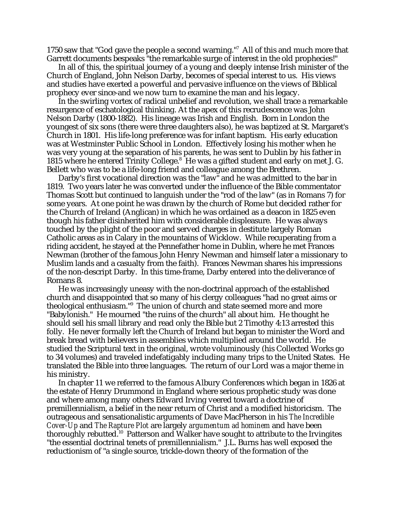1750 saw that "God gave the people a second warning."7 All of this and much more that Garrett documents bespeaks "the remarkable surge of interest in the old prophecies!"

In all of this, the spiritual journey of a young and deeply intense Irish minister of the Church of England, John Nelson Darby, becomes of special interest to us. His views and studies have exerted a powerful and pervasive influence on the views of Biblical prophecy ever since-and we now turn to examine the man and his legacy.

In the swirling vortex of radical unbelief and revolution, we shall trace a remarkable resurgence of eschatological thinking. At the apex of this recrudescence was John Nelson Darby (1800-1882). His lineage was Irish and English. Born in London the youngest of six sons (there were three daughters also), he was baptized at St. Margaret's Church in 1801. His life-long preference was for infant baptism. His early education was at Westminster Public School in London. Effectively losing his mother when he was very young at the separation of his parents, he was sent to Dublin by his father in 1815 where he entered Trinity College.<sup>8</sup> He was a gifted student and early on met J. G. Bellett who was to be a life-long friend and colleague among the Brethren.

Darby's first vocational direction was the "law" and he was admitted to the bar in 1819. Two years later he was converted under the influence of the Bible commentator Thomas Scott but continued to languish under the "rod of the law" (as in Romans 7) for some years. At one point he was drawn by the church of Rome but decided rather for the Church of Ireland (Anglican) in which he was ordained as a deacon in 1825 even though his father disinherited him with considerable displeasure. He was always touched by the plight of the poor and served charges in destitute largely Roman Catholic areas as in Calary in the mountains of Wicklow. While recuperating from a riding accident, he stayed at the Pennefather home in Dublin, where he met Frances Newman (brother of the famous John Henry Newman and himself later a missionary to Muslim lands and a casualty from the faith). Frances Newman shares his impressions of the non-descript Darby. In this time-frame, Darby entered into the deliverance of Romans 8.

He was increasingly uneasy with the non-doctrinal approach of the established church and disappointed that so many of his clergy colleagues "had no great aims or theological enthusiasm."9 The union of church and state seemed more and more "Babylonish." He mourned "the ruins of the church" all about him. He thought he should sell his small library and read only the Bible but 2 Timothy 4:13 arrested this folly. He never formally left the Church of Ireland but began to minister the Word and break bread with believers in assemblies which multiplied around the world. He studied the Scriptural text in the original, wrote voluminously (his Collected Works go to 34 volumes) and traveled indefatigably including many trips to the United States. He translated the Bible into three languages. The return of our Lord was a major theme in his ministry.

In chapter 11 we referred to the famous Albury Conferences which began in 1826 at the estate of Henry Drummond in England where serious prophetic study was done and where among many others Edward Irving veered toward a doctrine of premillennialism, a belief in the near return of Christ and a modified historicism. The outrageous and sensationalistic arguments of Dave MacPherson in his *The Incredible Cover-Up* and *The Rapture Plot* are largely *argumentum ad hominem* and have been thoroughly rebutted.<sup>10</sup> Patterson and Walker have sought to attribute to the Irvingites "the essential doctrinal tenets of premillennialism." J.L. Burns has well exposed the reductionism of "a single source, trickle-down theory of the formation of the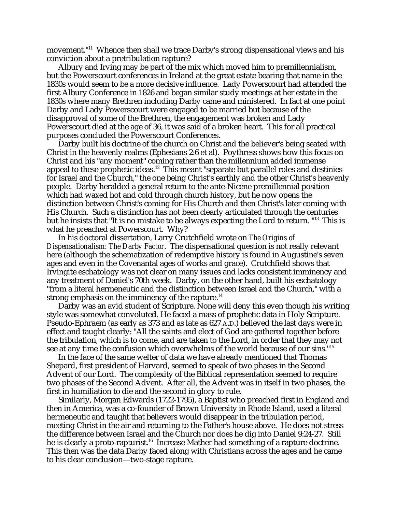movement."11 Whence then shall we trace Darby's strong dispensational views and his conviction about a pretribulation rapture?

Albury and Irving may be part of the mix which moved him to premillennialism, but the Powerscourt conferences in Ireland at the great estate bearing that name in the 1830s would seem to be a more decisive influence. Lady Powerscourt had attended the first Albury Conference in 1826 and began similar study meetings at her estate in the 1830s where many Brethren including Darby came and ministered. In fact at one point Darby and Lady Powerscourt were engaged to be married but because of the disapproval of some of the Brethren, the engagement was broken and Lady Powerscourt died at the age of 36, it was said of a broken heart. This for all practical purposes concluded the Powerscourt Conferences.

Darby built his doctrine of the church on Christ and the believer's being seated with Christ in the heavenly realms (Ephesians 2:6 et al). Poythress shows how this focus on Christ and his "any moment" coming rather than the millennium added immense appeal to these prophetic ideas.<sup>12</sup> This meant "separate but parallel roles and destinies for Israel and the Church," the one being Christ's earthly and the other Christ's heavenly people. Darby heralded a general return to the ante-Nicene premillennial position which had waxed hot and cold through church history, but he now opens the distinction between Christ's coming for His Church and then Christ's later coming with His Church. Such a distinction has not been clearly articulated through the centuries but he insists that "It is no mistake to be always expecting the Lord to return. "13 This is what he preached at Powerscourt. Why?

In his doctoral dissertation, Larry Crutchfield wrote on *The Origins of Dispensationalism: The Darby Factor*. The dispensational question is not really relevant here (although the schematization of redemptive history is found in Augustine's seven ages and even in the Covenantal ages of works and grace). Crutchfield shows that Irvingite eschatology was not clear on many issues and lacks consistent imminency and any treatment of Daniel's 70th week. Darby, on the other hand, built his eschatology "from a literal hermeneutic and the distinction between Israel and the Church," with a strong emphasis on the imminency of the rapture.<sup>14</sup>

Darby was an avid student of Scripture. None will deny this even though his writing style was somewhat convoluted. He faced a mass of prophetic data in Holy Scripture. Pseudo-Ephraem (as early as 373 and as late as 627 A.D.) believed the last days were in effect and taught clearly: "All the saints and elect of God are gathered together before the tribulation, which is to come, and are taken to the Lord, in order that they may not see at any time the confusion which overwhelms of the world because of our sins."<sup>15</sup>

In the face of the same welter of data we have already mentioned that Thomas Shepard, first president of Harvard, seemed to speak of two phases in the Second Advent of our Lord. The complexity of the Biblical representation seemed to require two phases of the Second Advent. After all, the Advent was in itself in two phases, the first in humiliation to die and the second in glory to rule.

Similarly, Morgan Edwards (1722-1795), a Baptist who preached first in England and then in America, was a co-founder of Brown University in Rhode Island, used a literal hermeneutic and taught that believers would disappear in the tribulation period, meeting Christ in the air and returning to the Father's house above. He does not stress the difference between Israel and the Church nor does he dig into Daniel 9:24-27. Still he is clearly a proto-rapturist.<sup>16</sup> Increase Mather had something of a rapture doctrine. This then was the data Darby faced along with Christians across the ages and he came to his clear conclusion—two-stage rapture.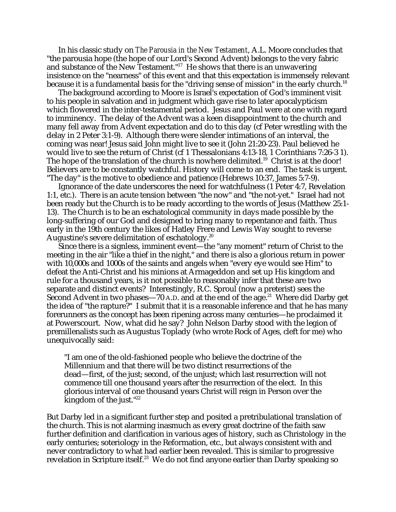In his classic study on *The Parousia in the New Testament*, A.L. Moore concludes that "the parousia hope (the hope of our Lord's Second Advent) belongs to the very fabric and substance of the New Testament."<sup>17</sup> He shows that there is an unwavering insistence on the "nearness" of this event and that this expectation is immensely relevant because it is a fundamental basis for the "driving sense of mission" in the early church.<sup>18</sup>

The background according to Moore is Israel's expectation of God's imminent visit to his people in salvation and in judgment which gave rise to later apocalypticism which flowered in the inter-testamental period. Jesus and Paul were at one with regard to imminency. The delay of the Advent was a keen disappointment to the church and many fell away from Advent expectation and do to this day (cf Peter wrestling with the delay in 2 Peter 3:1-9). Although there were slender intimations of an interval, the coming was near! Jesus said John might live to see it (John 21:20-23). Paul believed he would live to see the return of Christ (cf 1 Thessalonians 4:13-18, 1 Corinthians 7:26-3 1). The hope of the translation of the church is nowhere delimited.<sup>19</sup> Christ is at the door! Believers are to be constantly watchful. History will come to an end. The task is urgent. "The day" is the motive to obedience and patience (Hebrews 10:37, James 5:7-9).

Ignorance of the date underscores the need for watchfulness (1 Peter 4:7, Revelation 1:1, etc.). There is an acute tension between "the now" and "the not-yet." Israel had not been ready but the Church is to be ready according to the words of Jesus (Matthew 25:1- 13). The Church is to be an eschatological community in days made possible by the long-suffering of our God and designed to bring many to repentance and faith. Thus early in the 19th century the likes of Hatley Frere and Lewis Way sought to reverse Augustine's severe delimitation of eschatology.<sup>20</sup>

Since there is a signless, imminent event—the "any moment" return of Christ to the meeting in the air "like a thief in the night," and there is also a glorious return in power with 10,000s and 1000s of the saints and angels when "every eye would see Him" to defeat the Anti-Christ and his minions at Armageddon and set up His kingdom and rule for a thousand years, is it not possible to reasonably infer that these are two separate and distinct events? Interestingly, R.C. Sproul (now a preterist) sees the Second Advent in two phases—70 A.D. and at the end of the age.<sup>21</sup> Where did Darby get the idea of "the rapture?" I submit that it is a reasonable inference and that he has many forerunners as the concept has been ripening across many centuries—he proclaimed it at Powerscourt. Now, what did he say? John Nelson Darby stood with the legion of premillenalists such as Augustus Toplady (who wrote Rock of Ages, cleft for me) who unequivocally said:

"I am one of the old-fashioned people who believe the doctrine of the Millennium and that there will be two distinct resurrections of the dead—first, of the just; second, of the unjust; which last resurrection will not commence till one thousand years after the resurrection of the elect. In this glorious interval of one thousand years Christ will reign in Person over the kingdom of the just."22

But Darby led in a significant further step and posited a pretribulational translation of the church. This is not alarming inasmuch as every great doctrine of the faith saw further definition and clarification in various ages of history, such as Christology in the early centuries; soteriology in the Reformation, etc., but always consistent with and never contradictory to what had earlier been revealed. This is similar to progressive revelation in Scripture itself.<sup>23</sup> We do not find anyone earlier than Darby speaking so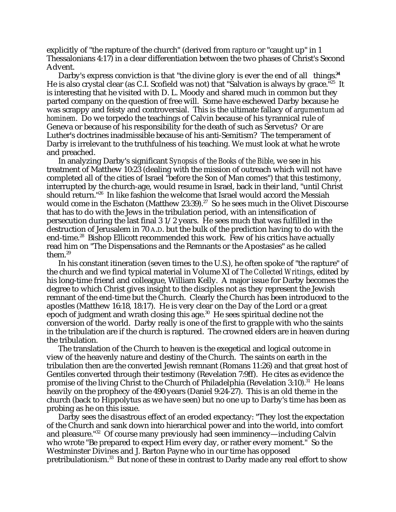explicitly of "the rapture of the church" (derived from *rapturo* or "caught up" in 1 Thessalonians 4:17) in a clear differentiation between the two phases of Christ's Second Advent.

Darby's express conviction is that "the divine glory is ever the end of all things. $A^{\mu}$ He is also crystal clear (as C.I. Scofield was not) that "Salvation is always by grace.<sup>"25</sup> It is interesting that he visited with D. L. Moody and shared much in common but they parted company on the question of free will. Some have eschewed Darby because he was scrappy and feisty and controversial. This is the ultimate fallacy of *argumentum ad hominem*. Do we torpedo the teachings of Calvin because of his tyrannical rule of Geneva or because of his responsibility for the death of such as Servetus? Or are Luther's doctrines inadmissible because of his anti-Semitism? The temperament of Darby is irrelevant to the truthfulness of his teaching. We must look at what he wrote and preached.

In analyzing Darby's significant *Synopsis of the Books of the Bible*, we see in his treatment of Matthew 10:23 (dealing with the mission of outreach which will not have completed all of the cities of Israel "before the Son of Man comes") that this testimony, interrupted by the church-age, would resume in Israel, back in their land, "until Christ should return.<sup>"26</sup> In like fashion the welcome that Israel would accord the Messiah would come in the Eschaton (Matthew 23:39).<sup>27</sup> So he sees much in the Olivet Discourse that has to do with the Jews in the tribulation period, with an intensification of persecution during the last final 3 1/2 years. He sees much that was fulfilled in the destruction of Jerusalem in 70 A.D. but the bulk of the prediction having to do with the end-time.<sup>28</sup> Bishop Ellicott recommended this work. Few of his critics have actually read him on "The Dispensations and the Remnants or the Apostasies" as he called them.29

In his constant itineration (seven times to the U.S.), he often spoke of "the rapture" of the church and we find typical material in Volume XI of *The Collected Writings*, edited by his long-time friend and colleague, William Kelly. A major issue for Darby becomes the degree to which Christ gives insight to the disciples not as they represent the Jewish remnant of the end-time but the Church. Clearly the Church has been introduced to the apostles (Matthew 16:18, 18:17). He is very clear on the Day of the Lord or a great epoch of judgment and wrath closing this age. $30$  He sees spiritual decline not the conversion of the world. Darby really is one of the first to grapple with who the saints in the tribulation are if the church is raptured. The crowned elders are in heaven during the tribulation.

The translation of the Church to heaven is the exegetical and logical outcome in view of the heavenly nature and destiny of the Church. The saints on earth in the tribulation then are the converted Jewish remnant (Romans 11:26) and that great host of Gentiles converted through their testimony (Revelation 7:9ff). He cites as evidence the promise of the living Christ to the Church of Philadelphia (Revelation 3:10).<sup>31</sup> He leans heavily on the prophecy of the 490 years (Daniel 9:24-27). This is an old theme in the church (back to Hippolytus as we have seen) but no one up to Darby's time has been as probing as he on this issue.

Darby sees the disastrous effect of an eroded expectancy: "They lost the expectation of the Church and sank down into hierarchical power and into the world, into comfort and pleasure."32 Of course many previously had seen imminency—including Calvin who wrote "Be prepared to expect Him every day, or rather every moment." So the Westminster Divines and J. Barton Payne who in our time has opposed pretribulationism.33 But none of these in contrast to Darby made any real effort to show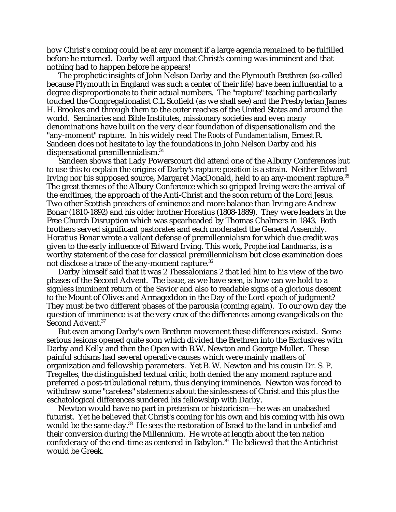how Christ's coming could be at any moment if a large agenda remained to be fulfilled before he returned. Darby well argued that Christ's coming was imminent and that nothing had to happen before he appears!

The prophetic insights of John Nelson Darby and the Plymouth Brethren (so-called because Plymouth in England was such a center of their life) have been influential to a degree disproportionate to their actual numbers. The "rapture" teaching particularly touched the Congregationalist C.L Scofield (as we shall see) and the Presbyterian James H. Brookes and through them to the outer reaches of the United States and around the world. Seminaries and Bible Institutes, missionary societies and even many denominations have built on the very clear foundation of dispensationalism and the "any-moment" rapture. In his widely read *The Roots of Fundamentalism*, Ernest R. Sandeen does not hesitate to lay the foundations in John Nelson Darby and his dispensational premillennialism.34

Sandeen shows that Lady Powerscourt did attend one of the Albury Conferences but to use this to explain the origins of Darby's rapture position is a strain. Neither Edward Irving nor his supposed source, Margaret MacDonald, held to an any-moment rapture.<sup>35</sup> The great themes of the Albury Conference which so gripped Irving were the arrival of the endtimes, the approach of the Anti-Christ and the soon return of the Lord Jesus. Two other Scottish preachers of eminence and more balance than Irving are Andrew Bonar (1810-1892) and his older brother Horatius (1808-1889). They were leaders in the Free Church Disruption which was spearheaded by Thomas Chalmers in 1843. Both brothers served significant pastorates and each moderated the General Assembly. Horatius Bonar wrote a valiant defense of premillennialism for which due credit was given to the early influence of Edward Irving. This work, *Prophetical Landmarks*, is a worthy statement of the case for classical premillennialism but close examination does not disclose a trace of the any-moment rapture.<sup>36</sup>

Darby himself said that it was 2 Thessalonians 2 that led him to his view of the two phases of the Second Advent. The issue, as we have seen, is how can we hold to a signless imminent return of the Savior and also to readable signs of a glorious descent to the Mount of Olives and Armageddon in the Day of the Lord epoch of judgment? They must be two different phases of the parousia (coming again). To our own day the question of imminence is at the very crux of the differences among evangelicals on the Second Advent.<sup>37</sup>

But even among Darby's own Brethren movement these differences existed. Some serious lesions opened quite soon which divided the Brethren into the Exclusives with Darby and Kelly and then the Open with B.W. Newton and George Muller. These painful schisms had several operative causes which were mainly matters of organization and fellowship parameters. Yet B. W. Newton and his cousin Dr. S. P. Tregelles, the distinguished textual critic, both denied the any moment rapture and preferred a post-tribulational return, thus denying imminence. Newton was forced to withdraw some "careless" statements about the sinlessness of Christ and this plus the eschatological differences sundered his fellowship with Darby.

Newton would have no part in preterism or historicism—he was an unabashed futurist. Yet he believed that Christ's coming for his own and his coming with his own would be the same day.<sup>38</sup> He sees the restoration of Israel to the land in unbelief and their conversion during the Millennium. He wrote at length about the ten nation confederacy of the end-time as centered in Babylon.<sup>39</sup> He believed that the Antichrist would be Greek.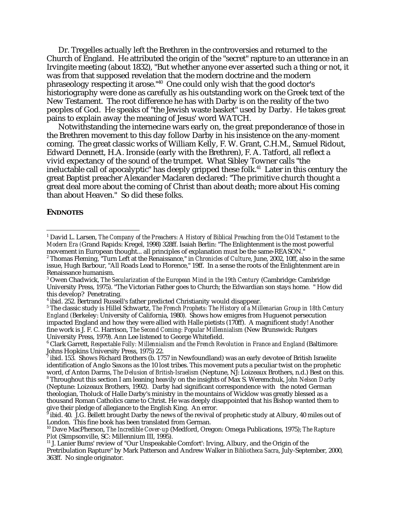Dr. Tregelles actually left the Brethren in the controversies and returned to the Church of England. He attributed the origin of the "secret" rapture to an utterance in an Irvingite meeting (about 1832), "But whether anyone ever asserted such a thing or not, it was from that supposed revelation that the modern doctrine and the modern phraseology respecting it arose."40 One could only wish that the good doctor's historiography were done as carefully as his outstanding work on the Greek text of the New Testament. The root difference he has with Darby is on the reality of the two peoples of God. He speaks of "the Jewish waste basket" used by Darby. He takes great pains to explain away the meaning of Jesus' word WATCH.

Notwithstanding the internecine wars early on, the great preponderance of those in the Brethren movement to this day follow Darby in his insistence on the any-moment coming. The great classic works of William Kelly, F. W. Grant, C.H.M., Samuel Ridout, Edward Dennett, H.A. Ironside (early with the Brethren), F. A. Tatford, all reflect a vivid expectancy of the sound of the trumpet. What Sibley Towner calls "the ineluctable call of apocalyptic" has deeply gripped these folk.<sup>41</sup> Later in this century the great Baptist preacher Alexander Maclaren declared: "The primitive church thought a great deal more about the coming of Christ than about death; more about His coming than about Heaven." So did these folks.

## **ENDNOTES**

5 The classic study is Hillel Schwartz, *The French Prophets: The History of a Millenarian Group in 18th Century England (*Berkeley: University of California, 1980). Shows how emigres from Huguenot persecution impacted England and how they were allied with Halle pietists (170ff). A magnificent study! Another fine work is J. F. C. Harrison, *The Second Coming: Popular Millennialism* (New Brunswick: Rutgers University Press, 1979). Ann Lee listened to George Whitefield.

 $\frac{1}{1}$ <sup>1</sup> David L. Larsen, *The Company of the Preachers: A History of Biblical Preaching from the Old Testament to the Modern Era (*Grand Rapids: Kregel, 1998) 328ff. Isaiah Berlin: "The Enlightenment is the most powerful movement in European thought... all principles of explanation must be the same-REASON."

<sup>2</sup> Thomas Fleming, "Turn Left at the Renaissance," in *Chronicles of Culture*, June, 2002, 10ff, also in the same issue, Hugh Barbour, "All Roads Lead to Florence," 19ff. In a sense the roots of the Enlightenment are in Renaissance humanism.

<sup>3</sup> Owen Chadwick, *The Secularization of the European Mind in the 19th Century* (Cambridge: Cambridge University Press, 1975). "The Victorian Father goes to Church; the Edwardian son stays home. " How did this develop? Penetrating.

<sup>4</sup> ibid. 252. Bertrand Russell's father predicted Christianity would disappear.

 $^6$  Clark Garrett, *Respectable Folly: Millennialism and the French Revolution in France and England* (Baltimore: Johns Hopkins University Press, 1975) 22.

 $^7$ ibid. 153. Shows Richard Brothers (b. 1757 in Newfoundland) was an early devotee of British Israelite identification of Anglo Saxons as the 10 lost tribes. This movement puts a peculiar twist on the prophetic word, cf Anton Darms, *The Delusion of British-Israelism* (Neptune, NJ: Loizeaux Brothers, n.d.) Best on this. <sup>8</sup>

Throughout this section I am leaning heavily on the insights of Max S. Weremchuk, *John Nelson Darby* (Neptune: Loizeaux Brothers, 1992). Darby had significant correspondence with the noted German theologian, Tholuck of Halle Darby's ministry in the mountains of Wicklow was greatly blessed as a thousand Roman Catholics came to Christ. He was deeply disappointed that his Bishop wanted them to give their pledge of allegiance to the English King. An error. 9

ibid. 40. J.G. Bellett brought Darby the news of the revival of prophetic study at Albury, 40 miles out of London. This fine book has been translated from German.

<sup>10</sup> Dave MacPherson, *The Incredible Cover-up* (Medford, Oregon: Omega Publications, 1975); *The Rapture*

<sup>&</sup>lt;sup>11</sup> J. Lanier Bums' review of "Our Unspeakable Comfort': Irving, Albury, and the Origin of the Pretribulation Rapture" by Mark Patterson and Andrew Walker in *Bibliotheca Sacra*, July-September, 2000, 363ff. No single originator.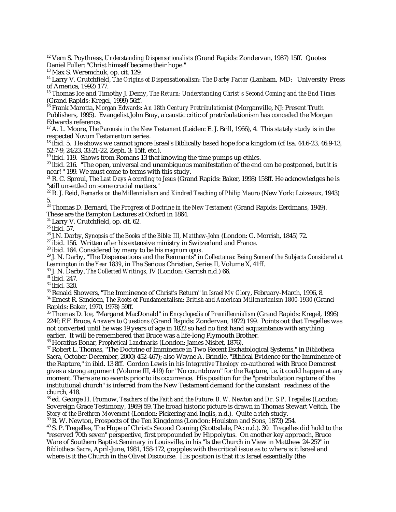12 Vern S. Poythress, *Understanding Dispensationalists* (Grand Rapids: Zondervan, 1987) 15ff. Quotes Daniel Fuller: "Christ himself became their hope."

<sup>14</sup> Larry V. Crutchfield, *The Origins of Dispensationalism: The Darby Factor* (Lanham, MD: University Press of America, 1992) 177.

15 Thomas Ice and Timothy J. Demy, *The Return: Understanding Christ's Second Coming and the End Times* (Grand Rapids: Kregel, 1999) 56ff.

16 Frank Marotta, *Morgan Edwards: An 18th Century Pretribulationist* (Morganville, NJ: Present Truth Publishers, 1995). Evangelist John Bray, a caustic critic of pretribulationism has conceded the Morgan Edwards reference.

<sup>17</sup> A. L. Moore, *The Parousia in the New Testament* (Leiden: E. J. Brill, 1966), 4. This stately study is in the respected *Novum Testamentum* series.

<sup>18</sup> ibid. 5. He shows we cannot ignore Israel's Biblically based hope for a kingdom (cf Isa. 44:6-23, 46:9-13, 52:7-9, 24:23, 33:21-22, Zeph. 3: 15ff, etc.).

<sup>19</sup> ibid. 119. Shows from Romans 13 that knowing the time pumps up ethics.

 $20$  ibid. 216. "The open, universal and unambiguous manifestation of the end can be postponed, but it is near! " 199. We must come to terms with this study.

<sup>21</sup> R. C. Sproul, *The Last Days According to Jesus* (Grand Rapids: Baker, 1998) 158ff. He acknowledges he is "still unsettled on some crucial matters."

<sup>22</sup> R. J. Reid, *Remarks on the Millennialism and Kindred Teaching of Philip Mauro* (New York: Loizeaux, 1943) 5.

23 Thomas D. Bernard, *The Progress of Doctrine in the New Testament* (Grand Rapids: Eerdmans, 1949).

These are the Bampton Lectures at Oxford in 1864.

24 Larry V. Crutchfield, op. cit. 62.

<sup>25</sup> ibid. 57.<br><sup>26</sup> J.N. Darby, *Synopsis of the Books of the Bible: III, Matthew-John* (London: G. Morrish, 1845) 72.

<sup>27</sup> ibid. 156. Written after his extensive ministry in Switzerland and France.<br><sup>28</sup> ibid. 164. Considered by many to be his *magnum opus*.

<sup>29</sup> J. N. Darby, "The Dispensations and the Remnants" in *Collectanea: Being Some of the Subjects Considered at*<br>Leamington in the Year 1839, in The Serious Christian, Series II, Volume X, 41ff.

<sup>30</sup> J. N. Darby, *The Collected Writings*, IV (London: Garrish n.d.) 66. <sup>31</sup> ibid. 247.

 $\frac{32}{33}$ ibid. 320.<br> $\frac{32}{33}$  Renald Showers, "The Imminence of Christ's Return" in *Israel My Glory*, February-March, 1996, 8. <sup>34</sup> Ernest R. Sandeen, *The Roots of Fundamentalism: British and American Millenarianism 1800-1930* (Grand Rapids: Baker, 1970, 1978) 59ff.

35 Thomas D. Ice, "Margaret MacDonald" in *Encyclopedia of Premillennialism* (Grand Rapids: Kregel, 1996) 224f; F.F. Bruce, *Answers to Questions* (Grand Rapids: Zondervan, 1972) 199. Points out that Tregelles was not converted until he was 19 years of age in 1832 so had no first hand acquaintance with anything earlier. It will be remembered that Bruce was a life-long Plymouth Brother. 36 Horatius Bonar, *Prophetical Landmarks* (London: James Nisbet, 1876).

<sup>37</sup> Robert L. Thomas, "The Doctrine of Imminence in Two Recent Eschatological Systems," in *Bibliotheca Sacra*, October-December, 2000) 452-467); also Wayne A. Brindle, "Biblical Evidence for the Imminence of the Rapture," in ibid. 13 8ff. Gordon Lewis in his *Integrative Theology* co-authored with Bruce Demarest gives a strong argument (Volume III, 419) for "No countdown" for the Rapture, i.e. it could happen at any moment. There are no events prior to its occurrence. His position for the "pretribulation rapture of the institutional church" is inferred from the New Testament demand for the constant readiness of the church, 418.

<sup>38</sup> ed. George H. Fromow. *Teachers of the Faith and the Future: B. W. Newton and Dr. S.P. Tregelles* (London: Sovereign Grace Testimony, 1969) 59. The broad historic picture is drawn in Thomas Stewart Veitch, *The Story of the Brethren Movement* (London: Pickering and Inglis, n.d.). Quite a rich study.

<sup>39</sup> B. W. Newton, Prospects of the Ten Kingdoms (London: Houlston and Sons, 1873) 254.

40 S. P. Tregelles, The Hope of Christ's Second Coming (Scottsdale, PA: n.d.). 30. Tregelles did hold to the "reserved 70th seven" perspective, first propounded by Hippolytus. On another key approach, Bruce Ware of Southern Baptist Seminary in Louisville, in his "Is the Church in View in Matthew 24-25?" in *Bibliotheca Sacra*, April-June, 1981, 158-172, grapples with the critical issue as to where is it Israel and where is it the Church in the Olivet Discourse. His position is that it is Israel essentially (the

<sup>13</sup> Max S. Weremchuk, op. cit. 129.